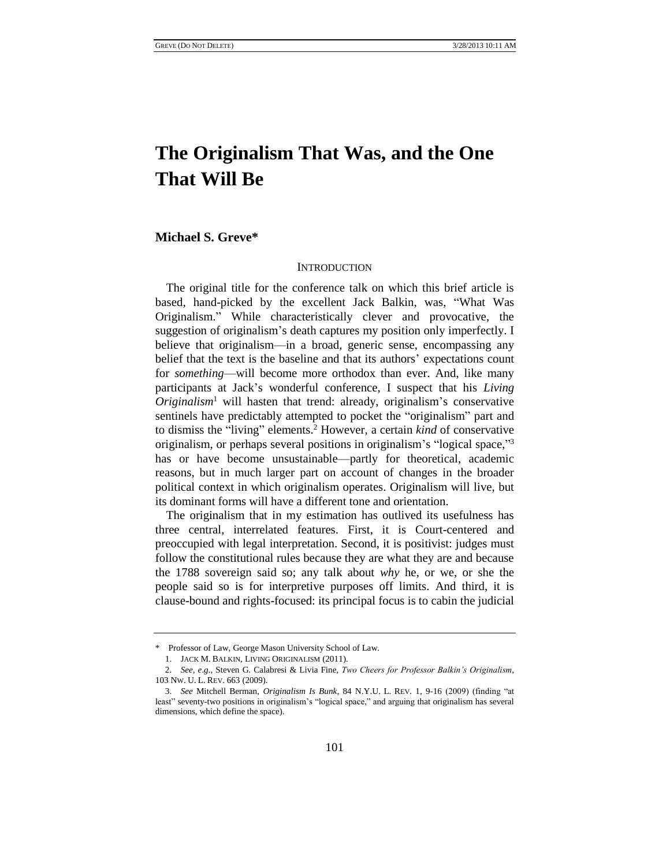# **The Originalism That Was, and the One That Will Be**

# **Michael S. Greve\***

#### INTRODUCTION

The original title for the conference talk on which this brief article is based, hand-picked by the excellent Jack Balkin, was, "What Was Originalism." While characteristically clever and provocative, the suggestion of originalism's death captures my position only imperfectly. I believe that originalism—in a broad, generic sense, encompassing any belief that the text is the baseline and that its authors' expectations count for *something*—will become more orthodox than ever. And, like many participants at Jack's wonderful conference, I suspect that his *Living*   $Originalism<sup>1</sup>$  will hasten that trend: already, originalism's conservative sentinels have predictably attempted to pocket the "originalism" part and to dismiss the "living" elements.<sup>2</sup> However, a certain *kind* of conservative originalism, or perhaps several positions in originalism's "logical space,"<sup>3</sup> has or have become unsustainable—partly for theoretical, academic reasons, but in much larger part on account of changes in the broader political context in which originalism operates. Originalism will live, but its dominant forms will have a different tone and orientation.

The originalism that in my estimation has outlived its usefulness has three central, interrelated features. First, it is Court-centered and preoccupied with legal interpretation. Second, it is positivist: judges must follow the constitutional rules because they are what they are and because the 1788 sovereign said so; any talk about *why* he, or we, or she the people said so is for interpretive purposes off limits. And third, it is clause-bound and rights-focused: its principal focus is to cabin the judicial

<sup>\*</sup> Professor of Law, George Mason University School of Law.

<sup>1.</sup> JACK M. BALKIN, LIVING ORIGINALISM (2011).

<sup>2.</sup> *See, e*.*g*., Steven G. Calabresi & Livia Fine, *Two Cheers for Professor Balkin's Originalism*, 103 NW. U. L. REV. 663 (2009).

<sup>3.</sup> *See* Mitchell Berman, *Originalism Is Bunk*, 84 N.Y.U. L. REV. 1, 9-16 (2009) (finding "at least" seventy-two positions in originalism's "logical space," and arguing that originalism has several dimensions, which define the space).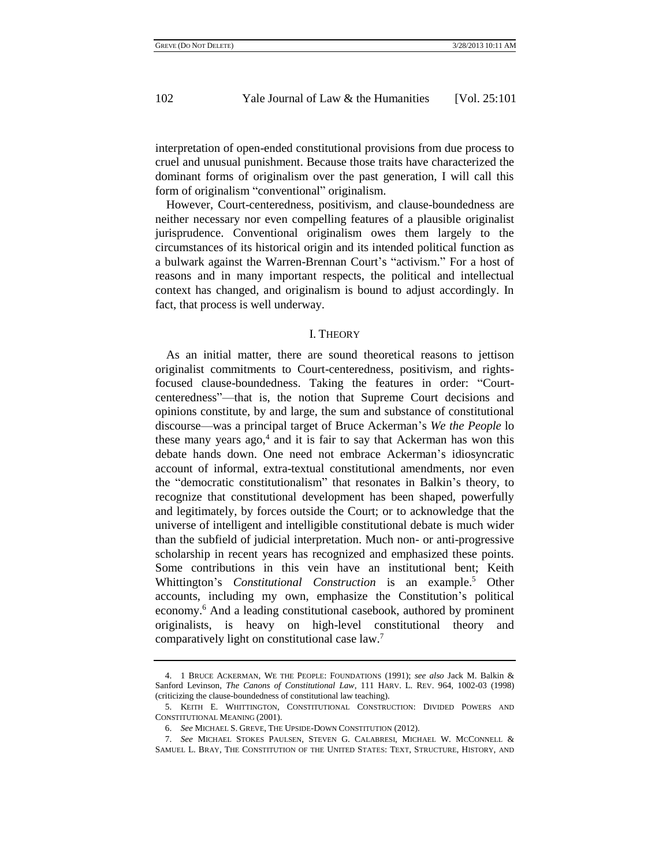interpretation of open-ended constitutional provisions from due process to cruel and unusual punishment. Because those traits have characterized the dominant forms of originalism over the past generation, I will call this form of originalism "conventional" originalism.

However, Court-centeredness, positivism, and clause-boundedness are neither necessary nor even compelling features of a plausible originalist jurisprudence. Conventional originalism owes them largely to the circumstances of its historical origin and its intended political function as a bulwark against the Warren-Brennan Court's "activism." For a host of reasons and in many important respects, the political and intellectual context has changed, and originalism is bound to adjust accordingly. In fact, that process is well underway.

#### I. THEORY

As an initial matter, there are sound theoretical reasons to jettison originalist commitments to Court-centeredness, positivism, and rightsfocused clause-boundedness. Taking the features in order: "Courtcenteredness"—that is, the notion that Supreme Court decisions and opinions constitute, by and large, the sum and substance of constitutional discourse—was a principal target of Bruce Ackerman's *We the People* lo these many years  $ago$ , and it is fair to say that Ackerman has won this debate hands down. One need not embrace Ackerman's idiosyncratic account of informal, extra-textual constitutional amendments, nor even the "democratic constitutionalism" that resonates in Balkin's theory, to recognize that constitutional development has been shaped, powerfully and legitimately, by forces outside the Court; or to acknowledge that the universe of intelligent and intelligible constitutional debate is much wider than the subfield of judicial interpretation. Much non- or anti-progressive scholarship in recent years has recognized and emphasized these points. Some contributions in this vein have an institutional bent; Keith Whittington's *Constitutional Construction* is an example.<sup>5</sup> Other accounts, including my own, emphasize the Constitution's political economy.<sup>6</sup> And a leading constitutional casebook, authored by prominent originalists, is heavy on high-level constitutional theory and comparatively light on constitutional case law.<sup>7</sup>

<sup>4.</sup> 1 BRUCE ACKERMAN, WE THE PEOPLE: FOUNDATIONS (1991); *see also* Jack M. Balkin & Sanford Levinson, *The Canons of Constitutional Law*, 111 HARV. L. REV. 964, 1002-03 (1998) (criticizing the clause-boundedness of constitutional law teaching).

<sup>5.</sup> KEITH E. WHITTINGTON, CONSTITUTIONAL CONSTRUCTION: DIVIDED POWERS AND CONSTITUTIONAL MEANING (2001).

<sup>6.</sup> *See* MICHAEL S. GREVE, THE UPSIDE-DOWN CONSTITUTION (2012).

<sup>7.</sup> *See* MICHAEL STOKES PAULSEN, STEVEN G. CALABRESI, MICHAEL W. MCCONNELL & SAMUEL L. BRAY, THE CONSTITUTION OF THE UNITED STATES: TEXT, STRUCTURE, HISTORY, AND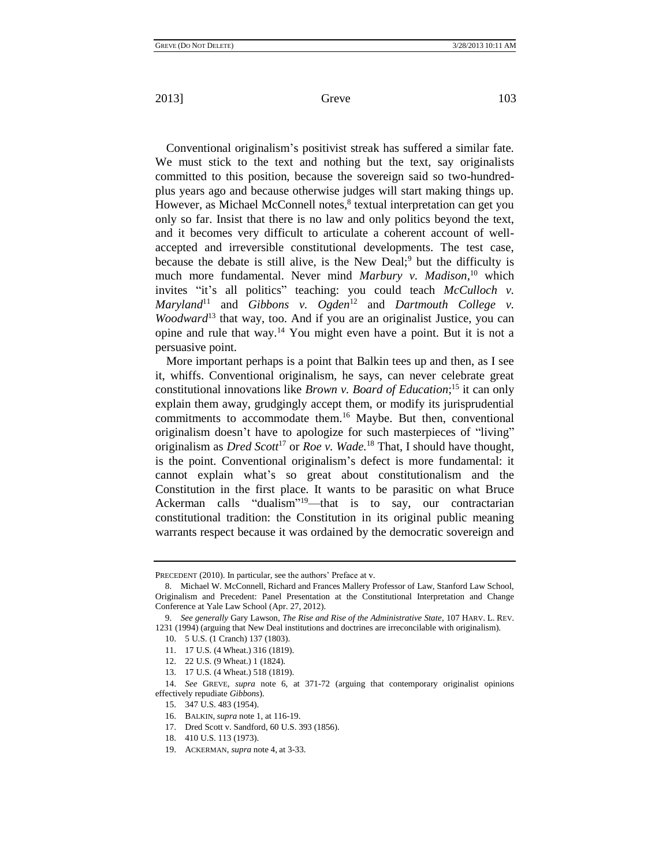Conventional originalism's positivist streak has suffered a similar fate. We must stick to the text and nothing but the text, say originalists committed to this position, because the sovereign said so two-hundredplus years ago and because otherwise judges will start making things up. However, as Michael McConnell notes, 8 textual interpretation can get you only so far. Insist that there is no law and only politics beyond the text, and it becomes very difficult to articulate a coherent account of wellaccepted and irreversible constitutional developments. The test case, because the debate is still alive, is the New Deal;<sup>9</sup> but the difficulty is much more fundamental. Never mind *Marbury v. Madison*, <sup>10</sup> which invites "it's all politics" teaching: you could teach *McCulloch v. Maryland*<sup>11</sup> and *Gibbons v. Ogden*<sup>12</sup> and *Dartmouth College v. Woodward*<sup>13</sup> that way, too. And if you are an originalist Justice, you can opine and rule that way.<sup>14</sup> You might even have a point. But it is not a persuasive point.

More important perhaps is a point that Balkin tees up and then, as I see it, whiffs. Conventional originalism, he says, can never celebrate great constitutional innovations like *Brown v. Board of Education*; <sup>15</sup> it can only explain them away, grudgingly accept them, or modify its jurisprudential commitments to accommodate them.<sup>16</sup> Maybe. But then, conventional originalism doesn't have to apologize for such masterpieces of "living" originalism as *Dred Scott*<sup>17</sup> or *Roe v. Wade.*<sup>18</sup> That, I should have thought, is the point. Conventional originalism's defect is more fundamental: it cannot explain what's so great about constitutionalism and the Constitution in the first place. It wants to be parasitic on what Bruce Ackerman calls "dualism"<sup>19</sup>—that is to say, our contractarian constitutional tradition: the Constitution in its original public meaning warrants respect because it was ordained by the democratic sovereign and

PRECEDENT (2010). In particular, see the authors' Preface at v.

<sup>8.</sup> Michael W. McConnell, Richard and Frances Mallery Professor of Law, Stanford Law School, Originalism and Precedent: Panel Presentation at the Constitutional Interpretation and Change Conference at Yale Law School (Apr. 27, 2012).

<sup>9.</sup> *See generally* Gary Lawson, *The Rise and Rise of the Administrative State*, 107 HARV. L. REV. 1231 (1994) (arguing that New Deal institutions and doctrines are irreconcilable with originalism).

<sup>10.</sup> 5 U.S. (1 Cranch) 137 (1803).

<sup>11.</sup> 17 U.S. (4 Wheat.) 316 (1819).

<sup>12.</sup> 22 U.S. (9 Wheat.) 1 (1824).

<sup>13.</sup> 17 U.S. (4 Wheat.) 518 (1819).

<sup>14.</sup> *See* GREVE, *supra* note 6, at 371-72 (arguing that contemporary originalist opinions effectively repudiate *Gibbons*).

<sup>15.</sup> 347 U.S. 483 (1954).

<sup>16.</sup> BALKIN, *supra* note 1, at 116-19.

<sup>17.</sup> Dred Scott v. Sandford, 60 U.S. 393 (1856).

<sup>18.</sup> 410 U.S. 113 (1973).

<sup>19.</sup> ACKERMAN, *supra* note 4, at 3-33.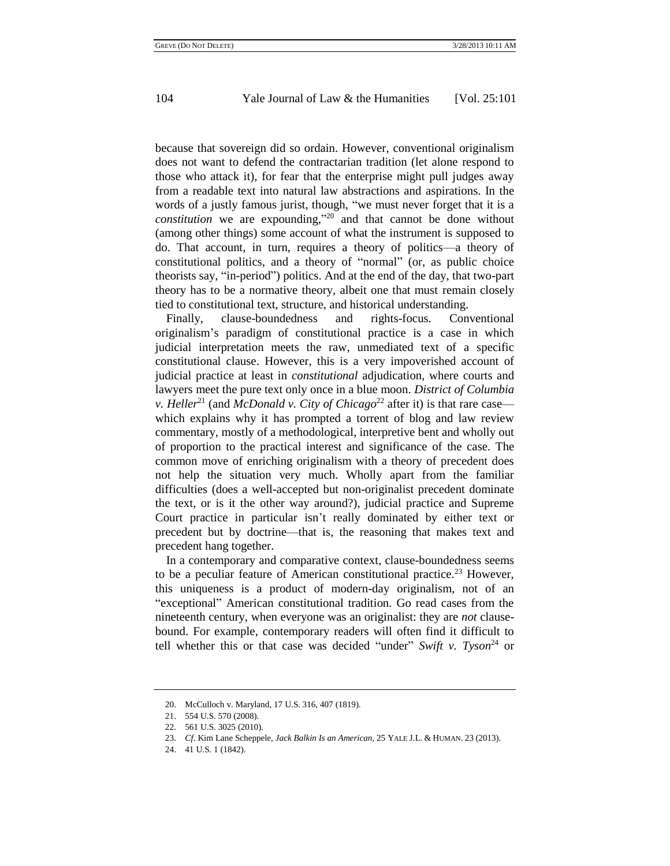because that sovereign did so ordain. However, conventional originalism does not want to defend the contractarian tradition (let alone respond to those who attack it), for fear that the enterprise might pull judges away from a readable text into natural law abstractions and aspirations. In the words of a justly famous jurist, though, "we must never forget that it is a *constitution* we are expounding," <sup>20</sup> and that cannot be done without (among other things) some account of what the instrument is supposed to do. That account, in turn, requires a theory of politics—a theory of constitutional politics, and a theory of "normal" (or, as public choice theorists say, "in-period") politics. And at the end of the day, that two-part theory has to be a normative theory, albeit one that must remain closely tied to constitutional text, structure, and historical understanding.

Finally, clause-boundedness and rights-focus. Conventional originalism's paradigm of constitutional practice is a case in which judicial interpretation meets the raw, unmediated text of a specific constitutional clause. However, this is a very impoverished account of judicial practice at least in *constitutional* adjudication, where courts and lawyers meet the pure text only once in a blue moon. *District of Columbia v. Heller*<sup>21</sup> (and *McDonald v. City of Chicago*<sup>22</sup> after it) is that rare case which explains why it has prompted a torrent of blog and law review commentary, mostly of a methodological, interpretive bent and wholly out of proportion to the practical interest and significance of the case. The common move of enriching originalism with a theory of precedent does not help the situation very much. Wholly apart from the familiar difficulties (does a well-accepted but non-originalist precedent dominate the text, or is it the other way around?), judicial practice and Supreme Court practice in particular isn't really dominated by either text or precedent but by doctrine—that is, the reasoning that makes text and precedent hang together.

In a contemporary and comparative context, clause-boundedness seems to be a peculiar feature of American constitutional practice.<sup>23</sup> However, this uniqueness is a product of modern-day originalism, not of an "exceptional" American constitutional tradition. Go read cases from the nineteenth century, when everyone was an originalist: they are *not* clausebound. For example, contemporary readers will often find it difficult to tell whether this or that case was decided "under" *Swift v. Tyson*<sup>24</sup> or

<sup>20.</sup> McCulloch v. Maryland, 17 U.S. 316, 407 (1819).

<sup>21.</sup> 554 U.S. 570 (2008).

<sup>22.</sup> 561 U.S. 3025 (2010).

<sup>23.</sup> *Cf*. Kim Lane Scheppele, *Jack Balkin Is an American*, 25 YALE J.L. & HUMAN. 23 (2013).

<sup>24.</sup> 41 U.S. 1 (1842).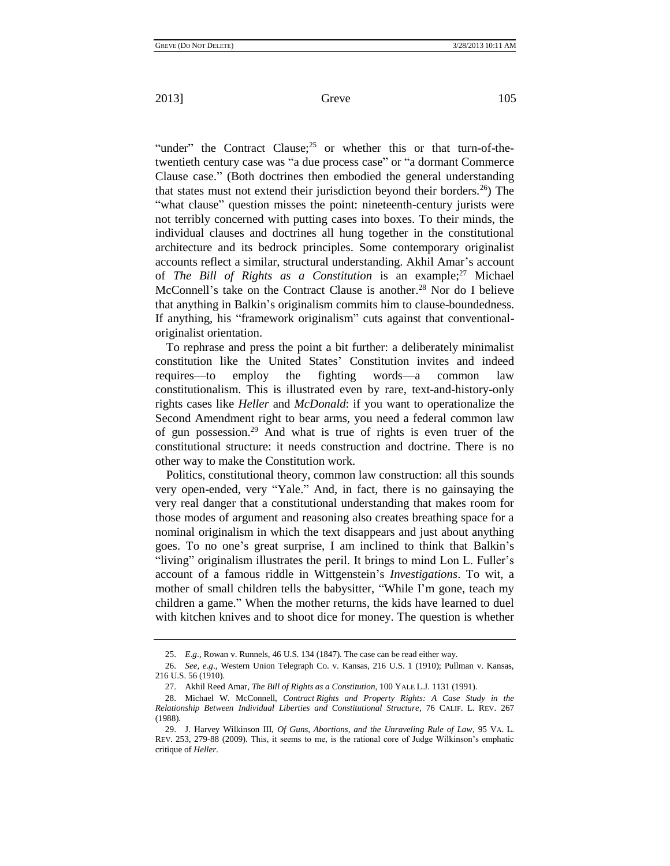"under" the Contract Clause; $^{25}$  or whether this or that turn-of-thetwentieth century case was "a due process case" or "a dormant Commerce Clause case." (Both doctrines then embodied the general understanding that states must not extend their jurisdiction beyond their borders.<sup>26</sup>) The "what clause" question misses the point: nineteenth-century jurists were not terribly concerned with putting cases into boxes. To their minds, the individual clauses and doctrines all hung together in the constitutional architecture and its bedrock principles. Some contemporary originalist accounts reflect a similar, structural understanding. Akhil Amar's account of *The Bill of Rights as a Constitution* is an example;<sup>27</sup> Michael McConnell's take on the Contract Clause is another.<sup>28</sup> Nor do I believe that anything in Balkin's originalism commits him to clause-boundedness. If anything, his "framework originalism" cuts against that conventionaloriginalist orientation.

To rephrase and press the point a bit further: a deliberately minimalist constitution like the United States' Constitution invites and indeed requires—to employ the fighting words—a common law constitutionalism. This is illustrated even by rare, text-and-history-only rights cases like *Heller* and *McDonald*: if you want to operationalize the Second Amendment right to bear arms, you need a federal common law of gun possession.<sup>29</sup> And what is true of rights is even truer of the constitutional structure: it needs construction and doctrine. There is no other way to make the Constitution work.

Politics, constitutional theory, common law construction: all this sounds very open-ended, very "Yale." And, in fact, there is no gainsaying the very real danger that a constitutional understanding that makes room for those modes of argument and reasoning also creates breathing space for a nominal originalism in which the text disappears and just about anything goes. To no one's great surprise, I am inclined to think that Balkin's "living" originalism illustrates the peril. It brings to mind Lon L. Fuller's account of a famous riddle in Wittgenstein's *Investigations*. To wit, a mother of small children tells the babysitter, "While I'm gone, teach my children a game." When the mother returns, the kids have learned to duel with kitchen knives and to shoot dice for money. The question is whether

<sup>25.</sup> *E*.*g*., Rowan v. Runnels, 46 U.S. 134 (1847). The case can be read either way.

<sup>26.</sup> *See, e*.*g*., Western Union Telegraph Co. v. Kansas, 216 U.S. 1 (1910); Pullman v. Kansas, 216 U.S. 56 (1910).

<sup>27.</sup> Akhil Reed Amar, *The Bill of Rights as a Constitution*, 100 YALE L.J. 1131 (1991).

<sup>28.</sup> Michael W. McConnell, *Contract Rights and Property Rights: A Case Study in the Relationship Between Individual Liberties and Constitutional Structure*, 76 CALIF. L. REV. 267 (1988).

<sup>29.</sup> J. Harvey Wilkinson III, *Of Guns, Abortions, and the Unraveling Rule of Law*, 95 VA. L. REV. 253, 279-88 (2009). This, it seems to me, is the rational core of Judge Wilkinson's emphatic critique of *Heller*.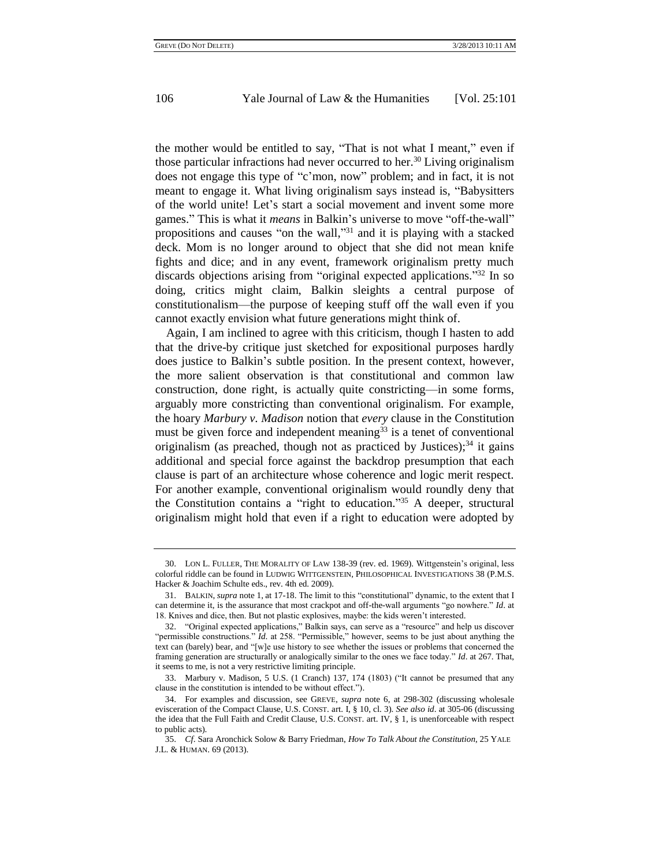the mother would be entitled to say, "That is not what I meant," even if those particular infractions had never occurred to her.<sup>30</sup> Living originalism does not engage this type of "c'mon, now" problem; and in fact, it is not meant to engage it. What living originalism says instead is, "Babysitters of the world unite! Let's start a social movement and invent some more games." This is what it *means* in Balkin's universe to move "off-the-wall" propositions and causes "on the wall,"<sup>31</sup> and it is playing with a stacked deck. Mom is no longer around to object that she did not mean knife fights and dice; and in any event, framework originalism pretty much discards objections arising from "original expected applications." <sup>32</sup> In so doing, critics might claim, Balkin sleights a central purpose of constitutionalism—the purpose of keeping stuff off the wall even if you cannot exactly envision what future generations might think of.

Again, I am inclined to agree with this criticism, though I hasten to add that the drive-by critique just sketched for expositional purposes hardly does justice to Balkin's subtle position. In the present context, however, the more salient observation is that constitutional and common law construction, done right, is actually quite constricting—in some forms, arguably more constricting than conventional originalism. For example, the hoary *Marbury v. Madison* notion that *every* clause in the Constitution must be given force and independent meaning $33$  is a tenet of conventional originalism (as preached, though not as practiced by Justices); $34$  it gains additional and special force against the backdrop presumption that each clause is part of an architecture whose coherence and logic merit respect. For another example, conventional originalism would roundly deny that the Constitution contains a "right to education." <sup>35</sup> A deeper, structural originalism might hold that even if a right to education were adopted by

<sup>30.</sup> LON L. FULLER, THE MORALITY OF LAW 138-39 (rev. ed. 1969). Wittgenstein's original, less colorful riddle can be found in LUDWIG WITTGENSTEIN, PHILOSOPHICAL INVESTIGATIONS 38 (P.M.S. Hacker & Joachim Schulte eds., rev. 4th ed. 2009).

<sup>31.</sup> BALKIN, *supra* note 1, at 17-18. The limit to this "constitutional" dynamic, to the extent that I can determine it, is the assurance that most crackpot and off-the-wall arguments "go nowhere." *Id*. at 18. Knives and dice, then. But not plastic explosives, maybe: the kids weren't interested.

<sup>32.</sup> "Original expected applications," Balkin says, can serve as a "resource" and help us discover "permissible constructions." *Id.* at 258. "Permissible," however, seems to be just about anything the text can (barely) bear, and "[w]e use history to see whether the issues or problems that concerned the framing generation are structurally or analogically similar to the ones we face today." *Id*. at 267. That, it seems to me, is not a very restrictive limiting principle.

<sup>33.</sup> Marbury v. Madison, 5 U.S. (1 Cranch) 137, 174 (1803) ("It cannot be presumed that any clause in the constitution is intended to be without effect.").

<sup>34.</sup> For examples and discussion, see GREVE, *supra* note 6, at 298-302 (discussing wholesale evisceration of the Compact Clause, U.S. CONST. art. I, § 10, cl. 3). *See also id*. at 305-06 (discussing the idea that the Full Faith and Credit Clause, U.S. CONST. art. IV, § 1, is unenforceable with respect to public acts).

<sup>35.</sup> *Cf*. Sara Aronchick Solow & Barry Friedman, *How To Talk About the Constitution*, 25 YALE J.L. & HUMAN. 69 (2013).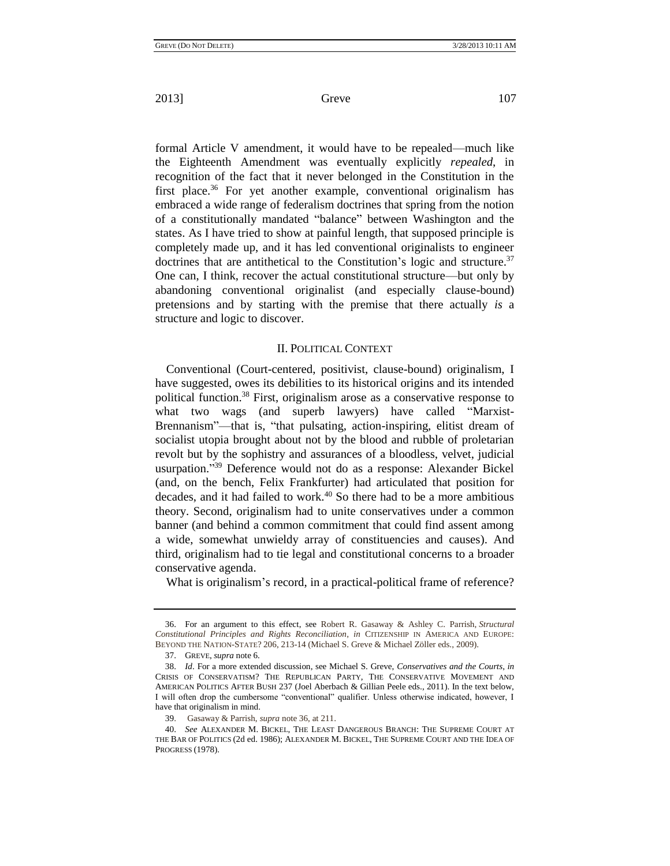formal Article V amendment, it would have to be repealed—much like the Eighteenth Amendment was eventually explicitly *repealed*, in recognition of the fact that it never belonged in the Constitution in the first place.<sup>36</sup> For yet another example, conventional originalism has embraced a wide range of federalism doctrines that spring from the notion of a constitutionally mandated "balance" between Washington and the states. As I have tried to show at painful length, that supposed principle is completely made up, and it has led conventional originalists to engineer doctrines that are antithetical to the Constitution's logic and structure.<sup>37</sup> One can, I think, recover the actual constitutional structure—but only by abandoning conventional originalist (and especially clause-bound) pretensions and by starting with the premise that there actually *is* a structure and logic to discover.

#### II. POLITICAL CONTEXT

Conventional (Court-centered, positivist, clause-bound) originalism, I have suggested, owes its debilities to its historical origins and its intended political function.<sup>38</sup> First, originalism arose as a conservative response to what two wags (and superb lawyers) have called "Marxist-Brennanism"—that is, "that pulsating, action-inspiring, elitist dream of socialist utopia brought about not by the blood and rubble of proletarian revolt but by the sophistry and assurances of a bloodless, velvet, judicial usurpation."<sup>39</sup> Deference would not do as a response: Alexander Bickel (and, on the bench, Felix Frankfurter) had articulated that position for decades, and it had failed to work.<sup>40</sup> So there had to be a more ambitious theory. Second, originalism had to unite conservatives under a common banner (and behind a common commitment that could find assent among a wide, somewhat unwieldy array of constituencies and causes). And third, originalism had to tie legal and constitutional concerns to a broader conservative agenda.

What is originalism's record, in a practical-political frame of reference?

<sup>36.</sup> For an argument to this effect, see Robert R. Gasaway & Ashley C. Parrish, *Structural Constitutional Principles and Rights Reconciliation*, *in* CITIZENSHIP IN AMERICA AND EUROPE: BEYOND THE NATION-STATE? 206, 213-14 (Michael S. Greve & Michael Zöller eds., 2009).

<sup>37.</sup> GREVE, *supra* note 6.

<sup>38.</sup> *Id*. For a more extended discussion, see Michael S. Greve, *Conservatives and the Courts*, *in* CRISIS OF CONSERVATISM? THE REPUBLICAN PARTY, THE CONSERVATIVE MOVEMENT AND AMERICAN POLITICS AFTER BUSH 237 (Joel Aberbach & Gillian Peele eds., 2011). In the text below, I will often drop the cumbersome "conventional" qualifier. Unless otherwise indicated, however, I have that originalism in mind.

<sup>39.</sup> Gasaway & Parrish, *supra* note 36, at 211.

<sup>40.</sup> *See* ALEXANDER M. BICKEL, THE LEAST DANGEROUS BRANCH: THE SUPREME COURT AT THE BAR OF POLITICS (2d ed. 1986); ALEXANDER M. BICKEL, THE SUPREME COURT AND THE IDEA OF PROGRESS (1978).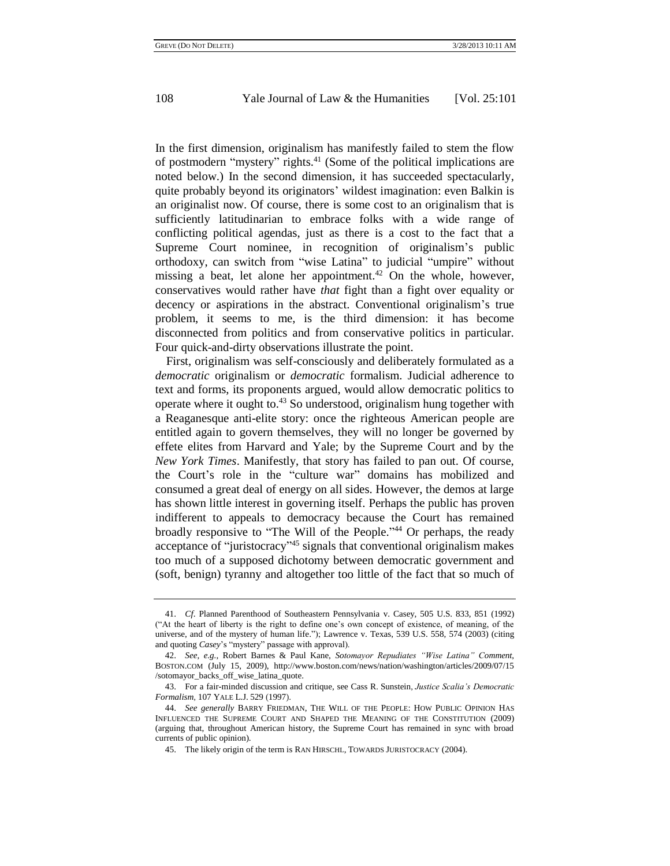In the first dimension, originalism has manifestly failed to stem the flow of postmodern "mystery" rights.<sup>41</sup> (Some of the political implications are noted below.) In the second dimension, it has succeeded spectacularly, quite probably beyond its originators' wildest imagination: even Balkin is an originalist now. Of course, there is some cost to an originalism that is sufficiently latitudinarian to embrace folks with a wide range of conflicting political agendas, just as there is a cost to the fact that a Supreme Court nominee, in recognition of originalism's public orthodoxy, can switch from "wise Latina" to judicial "umpire" without missing a beat, let alone her appointment.<sup>42</sup> On the whole, however, conservatives would rather have *that* fight than a fight over equality or decency or aspirations in the abstract. Conventional originalism's true problem, it seems to me, is the third dimension: it has become disconnected from politics and from conservative politics in particular. Four quick-and-dirty observations illustrate the point.

First, originalism was self-consciously and deliberately formulated as a *democratic* originalism or *democratic* formalism. Judicial adherence to text and forms, its proponents argued, would allow democratic politics to operate where it ought to.<sup>43</sup> So understood, originalism hung together with a Reaganesque anti-elite story: once the righteous American people are entitled again to govern themselves, they will no longer be governed by effete elites from Harvard and Yale; by the Supreme Court and by the *New York Times*. Manifestly, that story has failed to pan out. Of course, the Court's role in the "culture war" domains has mobilized and consumed a great deal of energy on all sides. However, the demos at large has shown little interest in governing itself. Perhaps the public has proven indifferent to appeals to democracy because the Court has remained broadly responsive to "The Will of the People."<sup>44</sup> Or perhaps, the ready acceptance of "juristocracy"<sup>45</sup> signals that conventional originalism makes too much of a supposed dichotomy between democratic government and (soft, benign) tyranny and altogether too little of the fact that so much of

<sup>41.</sup> *Cf*. Planned Parenthood of Southeastern Pennsylvania v. Casey, 505 U.S. 833, 851 (1992) ("At the heart of liberty is the right to define one's own concept of existence, of meaning, of the universe, and of the mystery of human life."); Lawrence v. Texas, 539 U.S. 558, 574 (2003) (citing and quoting *Casey*'s "mystery" passage with approval).

<sup>42.</sup> *See, e.g.*, Robert Barnes & Paul Kane, *Sotomayor Repudiates "Wise Latina" Comment*, BOSTON.COM (July 15, 2009), http://www.boston.com/news/nation/washington/articles/2009/07/15 /sotomayor\_backs\_off\_wise\_latina\_quote.

<sup>43.</sup> For a fair-minded discussion and critique, see Cass R. Sunstein, *Justice Scalia's Democratic Formalism*, 107 YALE L.J. 529 (1997).

<sup>44.</sup> *See generally* BARRY FRIEDMAN, THE WILL OF THE PEOPLE: HOW PUBLIC OPINION HAS INFLUENCED THE SUPREME COURT AND SHAPED THE MEANING OF THE CONSTITUTION (2009) (arguing that, throughout American history, the Supreme Court has remained in sync with broad currents of public opinion).

<sup>45.</sup> The likely origin of the term is RAN HIRSCHL, TOWARDS JURISTOCRACY (2004).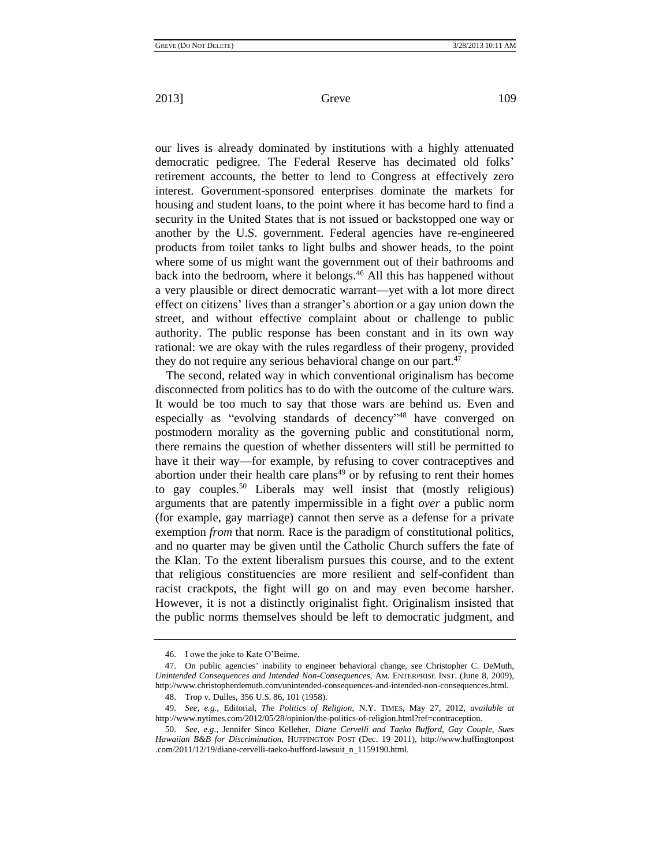our lives is already dominated by institutions with a highly attenuated democratic pedigree. The Federal Reserve has decimated old folks' retirement accounts, the better to lend to Congress at effectively zero interest. Government-sponsored enterprises dominate the markets for housing and student loans, to the point where it has become hard to find a security in the United States that is not issued or backstopped one way or another by the U.S. government. Federal agencies have re-engineered products from toilet tanks to light bulbs and shower heads, to the point where some of us might want the government out of their bathrooms and back into the bedroom, where it belongs.<sup>46</sup> All this has happened without a very plausible or direct democratic warrant—yet with a lot more direct effect on citizens' lives than a stranger's abortion or a gay union down the street, and without effective complaint about or challenge to public authority. The public response has been constant and in its own way rational: we are okay with the rules regardless of their progeny, provided they do not require any serious behavioral change on our part.<sup>47</sup>

The second, related way in which conventional originalism has become disconnected from politics has to do with the outcome of the culture wars. It would be too much to say that those wars are behind us. Even and especially as "evolving standards of decency"<sup>48</sup> have converged on postmodern morality as the governing public and constitutional norm, there remains the question of whether dissenters will still be permitted to have it their way—for example, by refusing to cover contraceptives and abortion under their health care plans<sup> $49$ </sup> or by refusing to rent their homes to gay couples.<sup>50</sup> Liberals may well insist that (mostly religious) arguments that are patently impermissible in a fight *over* a public norm (for example, gay marriage) cannot then serve as a defense for a private exemption *from* that norm. Race is the paradigm of constitutional politics, and no quarter may be given until the Catholic Church suffers the fate of the Klan. To the extent liberalism pursues this course, and to the extent that religious constituencies are more resilient and self-confident than racist crackpots, the fight will go on and may even become harsher. However, it is not a distinctly originalist fight. Originalism insisted that the public norms themselves should be left to democratic judgment, and

<sup>46.</sup> I owe the joke to Kate O'Beirne.

<sup>47.</sup> On public agencies' inability to engineer behavioral change, see Christopher C. DeMuth, *Unintended Consequences and Intended Non-Consequences*, AM. ENTERPRISE INST. (June 8, 2009), http://www.christopherdemuth.com/unintended-consequences-and-intended-non-consequences.html. 48. Trop v. Dulles, 356 U.S. 86, 101 (1958).

<sup>49.</sup> *See, e.g.*, Editorial, *The Politics of Religion*, N.Y. TIMES, May 27, 2012, *available at*

[http://www.nytimes.com/2012/05/28/opinion/the-politics-of-religion.html?ref=contraception.](http://www.nytimes.com/2012/05/28/opinion/the-politics-of-religion.html?ref=contraception)

<sup>50.</sup> *See, e*.*g*., Jennifer Sinco Kelleher, *Diane Cervelli and Taeko Bufford, Gay Couple, Sues Hawaiian B&B for Discrimination,* HUFFINGTON POST (Dec. 19 2011), http://www.huffingtonpost .com/2011/12/19/diane-cervelli-taeko-bufford-lawsuit\_n\_1159190.html.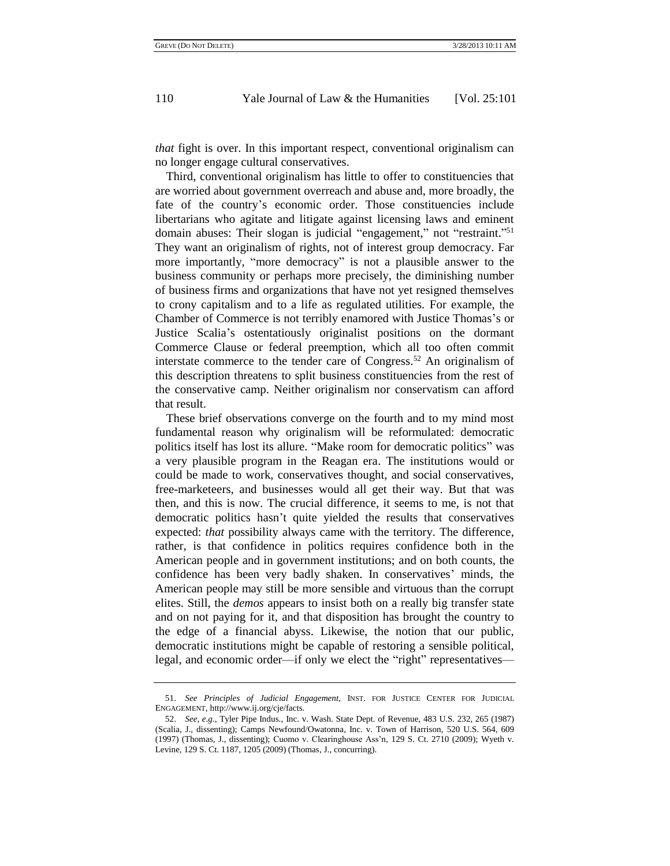*that* fight is over. In this important respect, conventional originalism can no longer engage cultural conservatives.

Third, conventional originalism has little to offer to constituencies that are worried about government overreach and abuse and, more broadly, the fate of the country's economic order. Those constituencies include libertarians who agitate and litigate against licensing laws and eminent domain abuses: Their slogan is judicial "engagement," not "restraint."<sup>51</sup> They want an originalism of rights, not of interest group democracy. Far more importantly, "more democracy" is not a plausible answer to the business community or perhaps more precisely, the diminishing number of business firms and organizations that have not yet resigned themselves to crony capitalism and to a life as regulated utilities. For example, the Chamber of Commerce is not terribly enamored with Justice Thomas's or Justice Scalia's ostentatiously originalist positions on the dormant Commerce Clause or federal preemption, which all too often commit interstate commerce to the tender care of Congress.<sup>52</sup> An originalism of this description threatens to split business constituencies from the rest of the conservative camp. Neither originalism nor conservatism can afford that result.

These brief observations converge on the fourth and to my mind most fundamental reason why originalism will be reformulated: democratic politics itself has lost its allure. "Make room for democratic politics" was a very plausible program in the Reagan era. The institutions would or could be made to work, conservatives thought, and social conservatives, free-marketeers, and businesses would all get their way. But that was then, and this is now. The crucial difference, it seems to me, is not that democratic politics hasn't quite yielded the results that conservatives expected: *that* possibility always came with the territory. The difference, rather, is that confidence in politics requires confidence both in the American people and in government institutions; and on both counts, the confidence has been very badly shaken. In conservatives' minds, the American people may still be more sensible and virtuous than the corrupt elites. Still, the *demos* appears to insist both on a really big transfer state and on not paying for it, and that disposition has brought the country to the edge of a financial abyss. Likewise, the notion that our public, democratic institutions might be capable of restoring a sensible political, legal, and economic order—if only we elect the "right" representatives—

<sup>51.</sup> *See Principles of Judicial Engagement*, INST. FOR JUSTICE CENTER FOR JUDICIAL ENGAGEMENT, http://www.ij.org/cje/facts.

<sup>52.</sup> *See, e*.*g*., Tyler Pipe Indus., Inc. v. Wash. State Dept. of Revenue, 483 U.S. 232, 265 (1987) (Scalia, J., dissenting); Camps Newfound/Owatonna, Inc. v. Town of Harrison, 520 U.S. 564, 609 (1997) (Thomas, J., dissenting); Cuomo v. Clearinghouse Ass'n, 129 S. Ct. 2710 (2009); Wyeth v. Levine, 129 S. Ct. 1187, 1205 (2009) (Thomas, J., concurring).